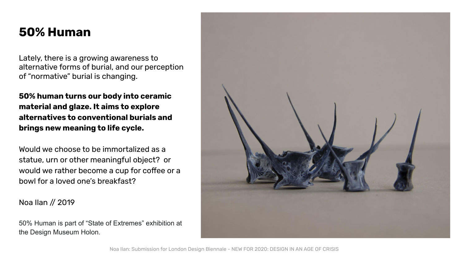# **50% Human**

Lately, there is a growing awareness to alternative forms of burial, and our perception of "normative" burial is changing.

**50% human turns our body into ceramic material and glaze. It aims to explore alternatives to conventional burials and brings new meaning to life cycle.** 

Would we choose to be immortalized as a statue, urn or other meaningful object? or would we rather become a cup for coffee or a bowl for a loved one's breakfast?

Noa Ilan // 2019

50% Human is part of "State of Extremes" exhibition at the Design Museum Holon.

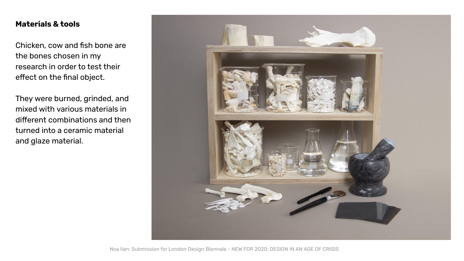## **Materials & tools**

Chicken, cow and fish bone are the bones chosen in my research in order to test their effect on the final object.

They were burned, grinded, and mixed with various materials in different combinations and then turned into a ceramic material and glaze material.

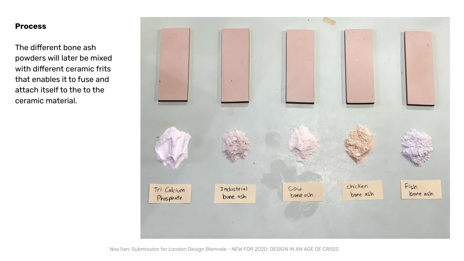## **Process**

The different bone ash powders will later be mixed with different ceramic frits that enables it to fuse and attach itself to the to the ceramic material.



Noa Ilan: Submission for London Design Biennale - NEW FOR 2020: DESIGN IN AN AGE OF CRISIS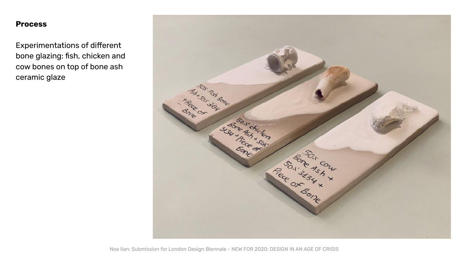#### **Process**

Experimentations of different bone glazing: fish, chicken and cow bones on top of bone ash ceramic glaze

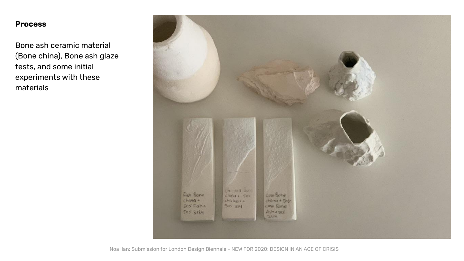### **Process**

Bone ash ceramic material (Bone china), Bone ash glaze tests, and some initial experiments with these materials